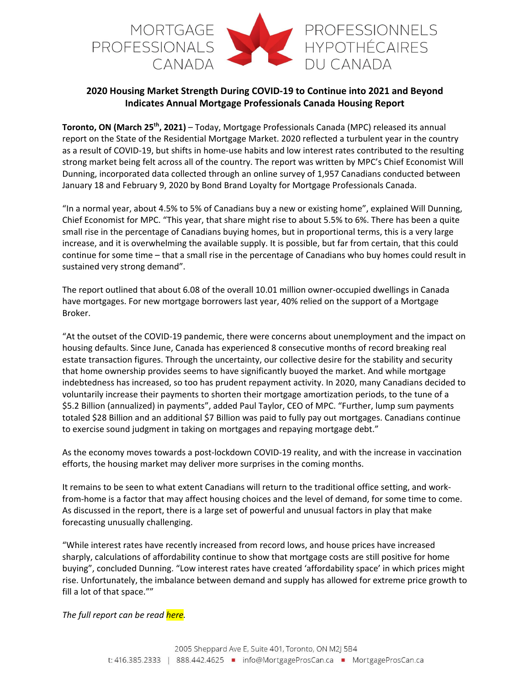

## **2020 Housing Market Strength During COVID‐19 to Continue into 2021 and Beyond Indicates Annual Mortgage Professionals Canada Housing Report**

**Toronto, ON (March 25th, 2021)** – Today, Mortgage Professionals Canada (MPC) released its annual report on the State of the Residential Mortgage Market. 2020 reflected a turbulent year in the country as a result of COVID‐19, but shifts in home‐use habits and low interest rates contributed to the resulting strong market being felt across all of the country. The report was written by MPC's Chief Economist Will Dunning, incorporated data collected through an online survey of 1,957 Canadians conducted between January 18 and February 9, 2020 by Bond Brand Loyalty for Mortgage Professionals Canada.

"In a normal year, about 4.5% to 5% of Canadians buy a new or existing home", explained Will Dunning, Chief Economist for MPC. "This year, that share might rise to about 5.5% to 6%. There has been a quite small rise in the percentage of Canadians buying homes, but in proportional terms, this is a very large increase, and it is overwhelming the available supply. It is possible, but far from certain, that this could continue for some time – that a small rise in the percentage of Canadians who buy homes could result in sustained very strong demand".

The report outlined that about 6.08 of the overall 10.01 million owner‐occupied dwellings in Canada have mortgages. For new mortgage borrowers last year, 40% relied on the support of a Mortgage Broker.

"At the outset of the COVID‐19 pandemic, there were concerns about unemployment and the impact on housing defaults. Since June, Canada has experienced 8 consecutive months of record breaking real estate transaction figures. Through the uncertainty, our collective desire for the stability and security that home ownership provides seems to have significantly buoyed the market. And while mortgage indebtedness has increased, so too has prudent repayment activity. In 2020, many Canadians decided to voluntarily increase their payments to shorten their mortgage amortization periods, to the tune of a \$5.2 Billion (annualized) in payments", added Paul Taylor, CEO of MPC. "Further, lump sum payments totaled \$28 Billion and an additional \$7 Billion was paid to fully pay out mortgages. Canadians continue to exercise sound judgment in taking on mortgages and repaying mortgage debt."

As the economy moves towards a post‐lockdown COVID‐19 reality, and with the increase in vaccination efforts, the housing market may deliver more surprises in the coming months.

It remains to be seen to what extent Canadians will return to the traditional office setting, and work‐ from-home is a factor that may affect housing choices and the level of demand, for some time to come. As discussed in the report, there is a large set of powerful and unusual factors in play that make forecasting unusually challenging.

"While interest rates have recently increased from record lows, and house prices have increased sharply, calculations of affordability continue to show that mortgage costs are still positive for home buying", concluded Dunning. "Low interest rates have created 'affordability space' in which prices might rise. Unfortunately, the imbalance between demand and supply has allowed for extreme price growth to fill a lot of that space.""

*The full report can be read here.*